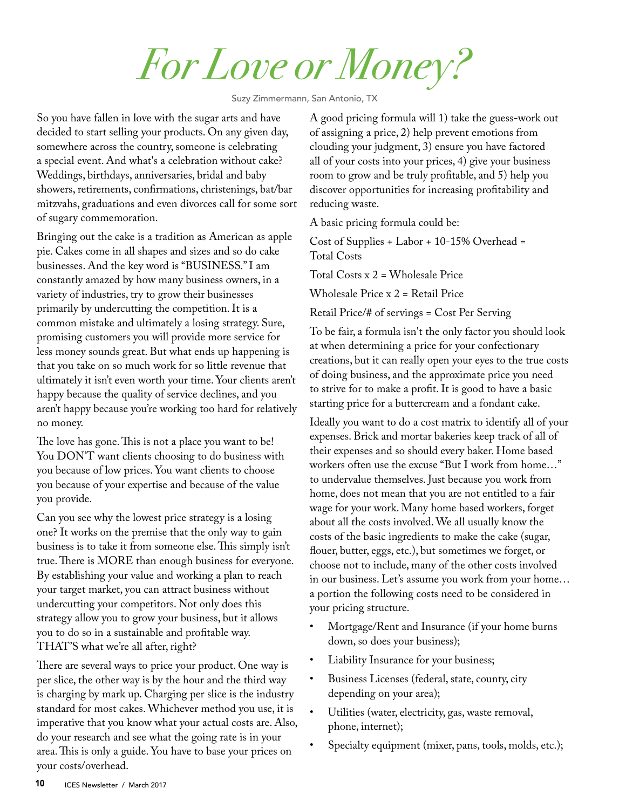*For Love or Money?* 

Suzy Zimmermann, San Antonio, TX

So you have fallen in love with the sugar arts and have decided to start selling your products. On any given day, somewhere across the country, someone is celebrating a special event. And what's a celebration without cake? Weddings, birthdays, anniversaries, bridal and baby showers, retirements, confirmations, christenings, bat/bar mitzvahs, graduations and even divorces call for some sort of sugary commemoration.

Bringing out the cake is a tradition as American as apple pie. Cakes come in all shapes and sizes and so do cake businesses. And the key word is "BUSINESS." I am constantly amazed by how many business owners, in a variety of industries, try to grow their businesses primarily by undercutting the competition. It is a common mistake and ultimately a losing strategy. Sure, promising customers you will provide more service for less money sounds great. But what ends up happening is that you take on so much work for so little revenue that ultimately it isn't even worth your time. Your clients aren't happy because the quality of service declines, and you aren't happy because you're working too hard for relatively no money.

The love has gone. This is not a place you want to be! You DON'T want clients choosing to do business with you because of low prices. You want clients to choose you because of your expertise and because of the value you provide.

Can you see why the lowest price strategy is a losing one? It works on the premise that the only way to gain business is to take it from someone else. This simply isn't true. There is MORE than enough business for everyone. By establishing your value and working a plan to reach your target market, you can attract business without undercutting your competitors. Not only does this strategy allow you to grow your business, but it allows you to do so in a sustainable and profitable way. THAT'S what we're all after, right?

There are several ways to price your product. One way is per slice, the other way is by the hour and the third way is charging by mark up. Charging per slice is the industry standard for most cakes. Whichever method you use, it is imperative that you know what your actual costs are. Also, do your research and see what the going rate is in your area. This is only a guide. You have to base your prices on your costs/overhead.

A good pricing formula will 1) take the guess-work out of assigning a price, 2) help prevent emotions from clouding your judgment, 3) ensure you have factored all of your costs into your prices, 4) give your business room to grow and be truly profitable, and 5) help you discover opportunities for increasing profitability and reducing waste.

A basic pricing formula could be:

Cost of Supplies + Labor + 10-15% Overhead = Total Costs

Total Costs x 2 = Wholesale Price

Wholesale Price x 2 = Retail Price

Retail Price/# of servings = Cost Per Serving

To be fair, a formula isn't the only factor you should look at when determining a price for your confectionary creations, but it can really open your eyes to the true costs of doing business, and the approximate price you need to strive for to make a profit. It is good to have a basic starting price for a buttercream and a fondant cake.

Ideally you want to do a cost matrix to identify all of your expenses. Brick and mortar bakeries keep track of all of their expenses and so should every baker. Home based workers often use the excuse "But I work from home…" to undervalue themselves. Just because you work from home, does not mean that you are not entitled to a fair wage for your work. Many home based workers, forget about all the costs involved. We all usually know the costs of the basic ingredients to make the cake (sugar, flouer, butter, eggs, etc.), but sometimes we forget, or choose not to include, many of the other costs involved in our business. Let's assume you work from your home… a portion the following costs need to be considered in your pricing structure.

- Mortgage/Rent and Insurance (if your home burns down, so does your business);
- Liability Insurance for your business;
- Business Licenses (federal, state, county, city depending on your area);
- Utilities (water, electricity, gas, waste removal, phone, internet);
- Specialty equipment (mixer, pans, tools, molds, etc.);